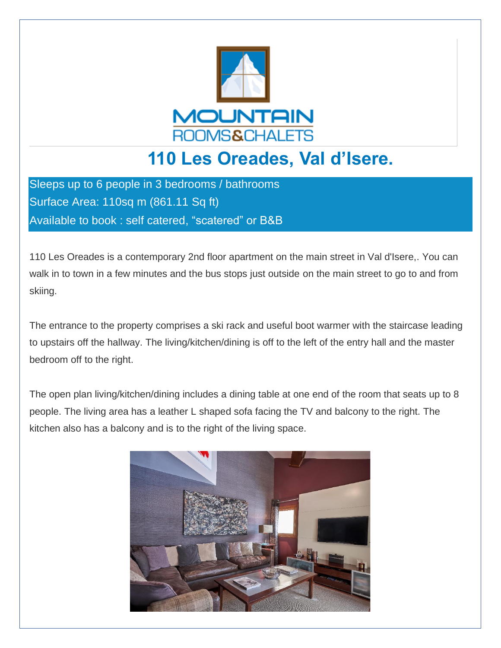

## **110 Les Oreades, Val d'Isere.**

Sleeps up to 6 people in 3 bedrooms / bathrooms Surface Area: 110sq m (861.11 Sq ft) Available to book : self catered, "scatered" or B&B

110 Les Oreades is a contemporary 2nd floor apartment on the main street in Val d'Isere,. You can walk in to town in a few minutes and the bus stops just outside on the main street to go to and from skiing.

The entrance to the property comprises a ski rack and useful boot warmer with the staircase leading to upstairs off the hallway. The living/kitchen/dining is off to the left of the entry hall and the master bedroom off to the right.

The open plan living/kitchen/dining includes a dining table at one end of the room that seats up to 8 people. The living area has a leather L shaped sofa facing the TV and balcony to the right. The kitchen also has a balcony and is to the right of the living space.

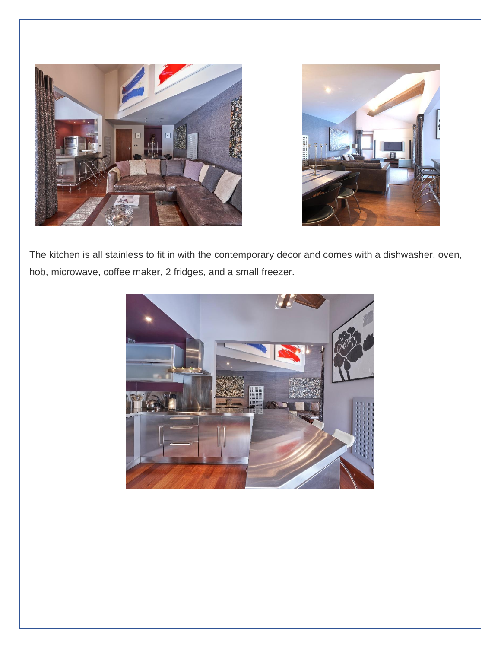



The kitchen is all stainless to fit in with the contemporary décor and comes with a dishwasher, oven, hob, microwave, coffee maker, 2 fridges, and a small freezer.

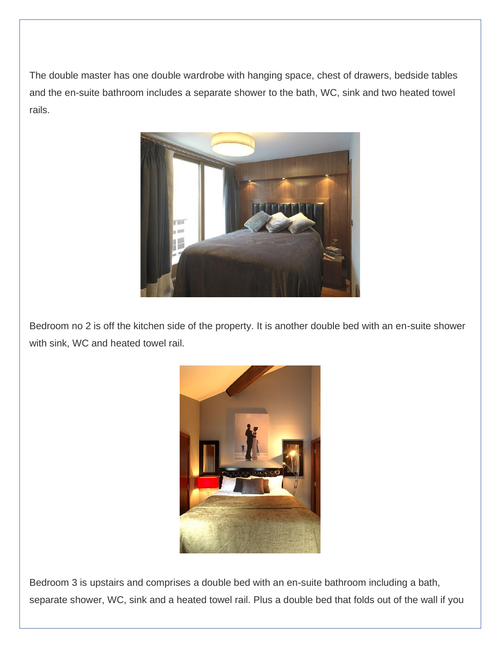The double master has one double wardrobe with hanging space, chest of drawers, bedside tables and the en-suite bathroom includes a separate shower to the bath, WC, sink and two heated towel rails.



Bedroom no 2 is off the kitchen side of the property. It is another double bed with an en-suite shower with sink, WC and heated towel rail.



Bedroom 3 is upstairs and comprises a double bed with an en-suite bathroom including a bath, separate shower, WC, sink and a heated towel rail. Plus a double bed that folds out of the wall if you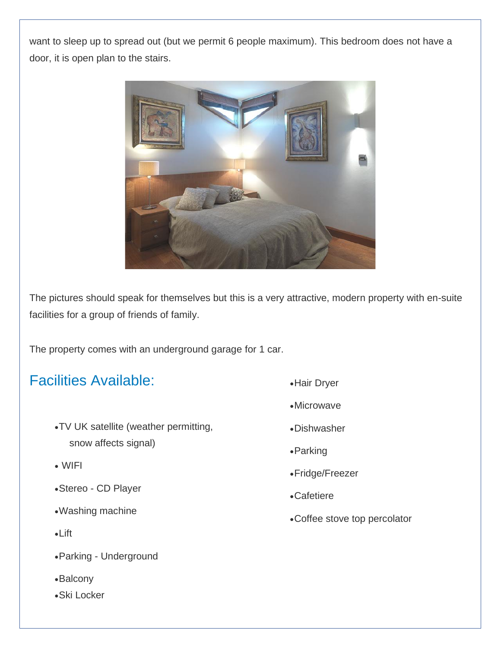want to sleep up to spread out (but we permit 6 people maximum). This bedroom does not have a door, it is open plan to the stairs.



The pictures should speak for themselves but this is a very attractive, modern property with en-suite facilities for a group of friends of family.

The property comes with an underground garage for 1 car.

## Facilities Available:

- •TV UK satellite (weather permitting, snow affects signal)
- WIFI
- •Stereo CD Player
- •Washing machine
- •Lift
- •Parking Underground
- •Balcony
- •Ski Locker
- •Hair Dryer
- •Microwave
- •Dishwasher
- •Parking
- •Fridge/Freezer
- •Cafetiere
- •Coffee stove top percolator